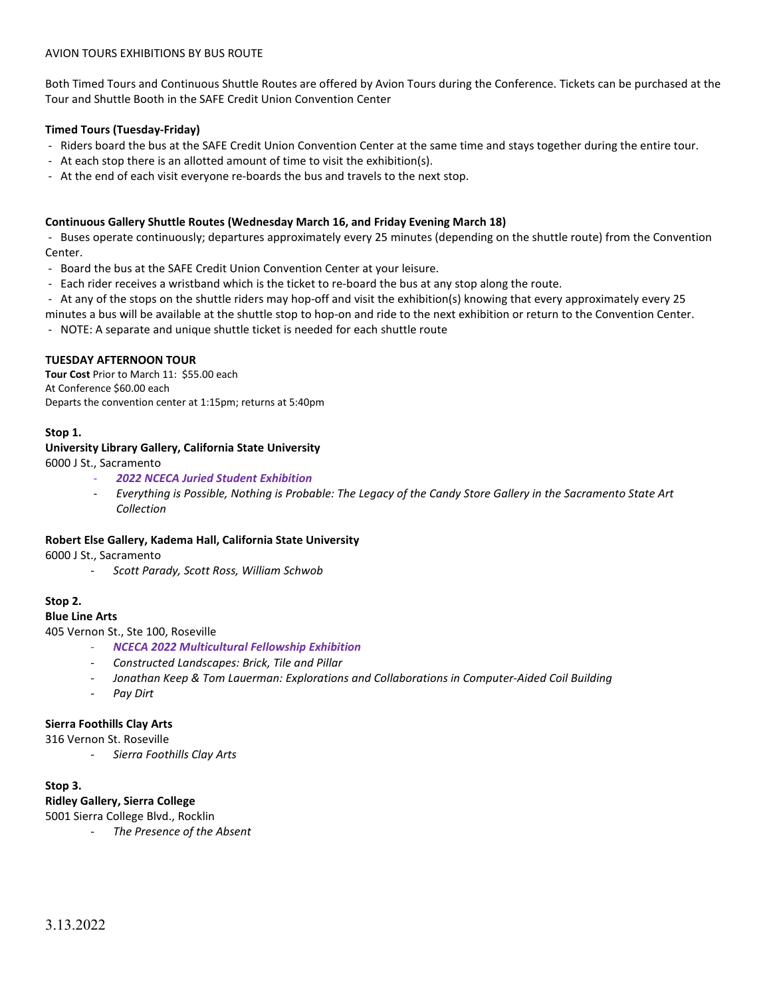## AVION TOURS EXHIBITIONS BY BUS ROUTE

Both Timed Tours and Continuous Shuttle Routes are offered by Avion Tours during the Conference. Tickets can be purchased at the Tour and Shuttle Booth in the SAFE Credit Union Convention Center

## **Timed Tours (Tuesday-Friday)**

- Riders board the bus at the SAFE Credit Union Convention Center at the same time and stays together during the entire tour.
- At each stop there is an allotted amount of time to visit the exhibition(s).
- At the end of each visit everyone re-boards the bus and travels to the next stop.

#### **Continuous Gallery Shuttle Routes (Wednesday March 16, and Friday Evening March 18)**

- Buses operate continuously; departures approximately every 25 minutes (depending on the shuttle route) from the Convention Center.

- Board the bus at the SAFE Credit Union Convention Center at your leisure.
- Each rider receives a wristband which is the ticket to re-board the bus at any stop along the route.
- At any of the stops on the shuttle riders may hop-off and visit the exhibition(s) knowing that every approximately every 25
- minutes a bus will be available at the shuttle stop to hop-on and ride to the next exhibition or return to the Convention Center. - NOTE: A separate and unique shuttle ticket is needed for each shuttle route

## **TUESDAY AFTERNOON TOUR**

**Tour Cost** Prior to March 11: \$55.00 each At Conference \$60.00 each Departs the convention center at 1:15pm; returns at 5:40pm

## **Stop 1.**

## **University Library Gallery, California State University**

6000 J St., Sacramento

- *2022 NCECA Juried Student Exhibition*
- *Everything is Possible, Nothing is Probable: The Legacy of the Candy Store Gallery in the Sacramento State Art Collection*

#### **Robert Else Gallery, Kadema Hall, California State University**

6000 J St., Sacramento

- *Scott Parady, Scott Ross, William Schwob*

## **Stop 2.**

#### **Blue Line Arts**

405 Vernon St., Ste 100, Roseville

- *NCECA 2022 Multicultural Fellowship Exhibition*
- *Constructed Landscapes: Brick, Tile and Pillar*
- *Jonathan Keep & Tom Lauerman: Explorations and Collaborations in Computer-Aided Coil Building*
- *Pay Dirt*

#### **Sierra Foothills Clay Arts**

316 Vernon St. Roseville

- *Sierra Foothills Clay Arts*

# **Stop 3.**

**Ridley Gallery, Sierra College**

- 5001 Sierra College Blvd., Rocklin
	- **The Presence of the Absent**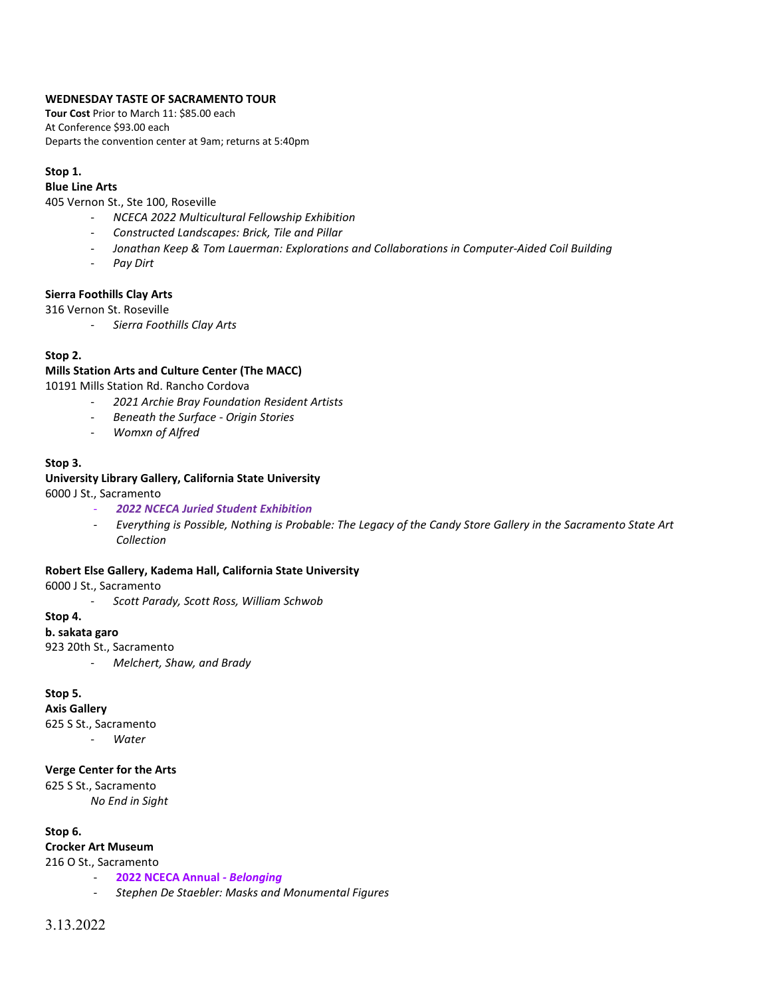## **WEDNESDAY TASTE OF SACRAMENTO TOUR**

**Tour Cost** Prior to March 11: \$85.00 each At Conference \$93.00 each Departs the convention center at 9am; returns at 5:40pm

## **Stop 1.**

# **Blue Line Arts**

405 Vernon St., Ste 100, Roseville

- *NCECA 2022 Multicultural Fellowship Exhibition*
- *Constructed Landscapes: Brick, Tile and Pillar*
- *Jonathan Keep & Tom Lauerman: Explorations and Collaborations in Computer-Aided Coil Building*
- *Pay Dirt*

## **Sierra Foothills Clay Arts**

316 Vernon St. Roseville

- *Sierra Foothills Clay Arts*

## **Stop 2.**

## **Mills Station Arts and Culture Center (The MACC)**

10191 Mills Station Rd. Rancho Cordova

- *2021 Archie Bray Foundation Resident Artists*
- *Beneath the Surface - Origin Stories*
- *Womxn of Alfred*

## **Stop 3.**

## **University Library Gallery, California State University**

6000 J St., Sacramento

- *2022 NCECA Juried Student Exhibition*
- *Everything is Possible, Nothing is Probable: The Legacy of the Candy Store Gallery in the Sacramento State Art Collection*

#### **Robert Else Gallery, Kadema Hall, California State University**

6000 J St., Sacramento

- *Scott Parady, Scott Ross, William Schwob*

#### **Stop 4.**

#### **b. sakata garo**

923 20th St., Sacramento

- *Melchert, Shaw, and Brady*

## **Stop 5.**

**Axis Gallery**

625 S St., Sacramento - *Water*

#### **Verge Center for the Arts**

625 S St., Sacramento

*No End in Sight*

**Stop 6.**

**Crocker Art Museum**

- 216 O St., Sacramento - **2022 NCECA Annual** *- Belonging*
	- *Stephen De Staebler: Masks and Monumental Figures*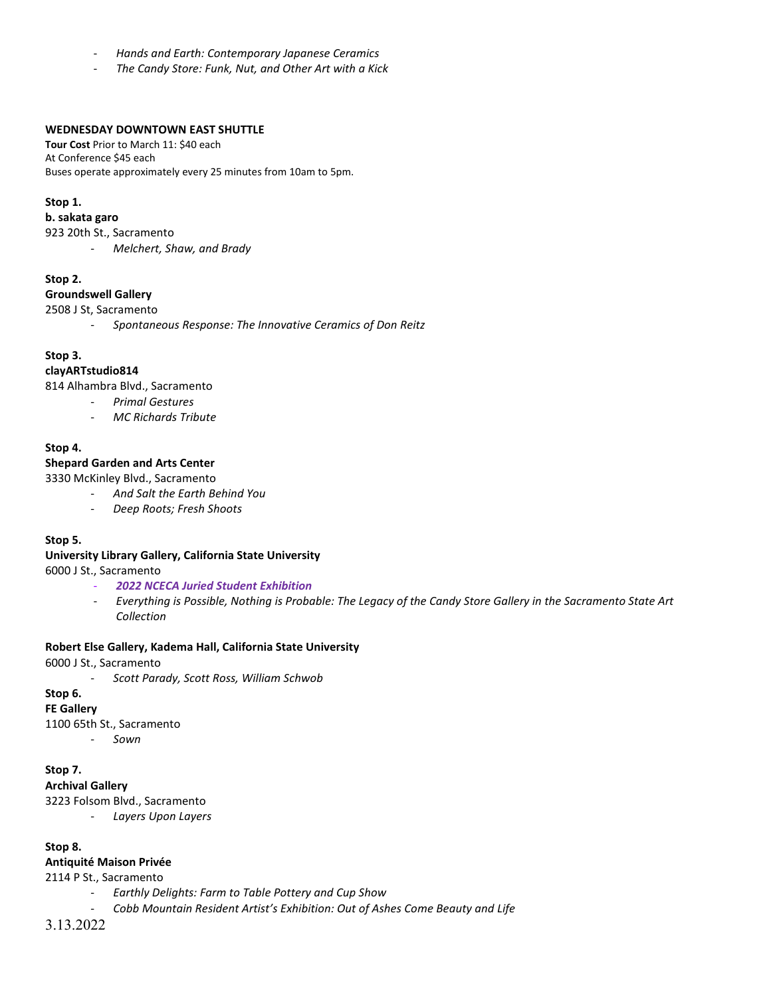- *Hands and Earth: Contemporary Japanese Ceramics*
- *The Candy Store: Funk, Nut, and Other Art with a Kick*

#### **WEDNESDAY DOWNTOWN EAST SHUTTLE**

**Tour Cost** Prior to March 11: \$40 each At Conference \$45 each Buses operate approximately every 25 minutes from 10am to 5pm.

#### **Stop 1.**

#### **b. sakata garo**

923 20th St., Sacramento

- *Melchert, Shaw, and Brady*

#### **Stop 2.**

#### **Groundswell Gallery**

2508 J St, Sacramento

- *Spontaneous Response: The Innovative Ceramics of Don Reitz*

#### **Stop 3.**

#### **clayARTstudio814**

814 Alhambra Blvd., Sacramento

- *Primal Gestures*
- *MC Richards Tribute*

#### **Stop 4.**

## **Shepard Garden and Arts Center**

3330 McKinley Blvd., Sacramento

- *And Salt the Earth Behind You*
	- *Deep Roots; Fresh Shoots*

#### **Stop 5.**

#### **University Library Gallery, California State University**

6000 J St., Sacramento

- *2022 NCECA Juried Student Exhibition*
- *Everything is Possible, Nothing is Probable: The Legacy of the Candy Store Gallery in the Sacramento State Art Collection*

#### **Robert Else Gallery, Kadema Hall, California State University**

6000 J St., Sacramento

- *Scott Parady, Scott Ross, William Schwob*

## **Stop 6.**

**FE Gallery**

1100 65th St., Sacramento

- *Sown*

**Stop 7.**

**Archival Gallery** 3223 Folsom Blvd., Sacramento

- *Layers Upon Layers*

#### **Stop 8.**

#### **Antiquité Maison Privée**

2114 P St., Sacramento

- *Earthly Delights: Farm to Table Pottery and Cup Show*
- *Cobb Mountain Resident Artist's Exhibition: Out of Ashes Come Beauty and Life*

3.13.2022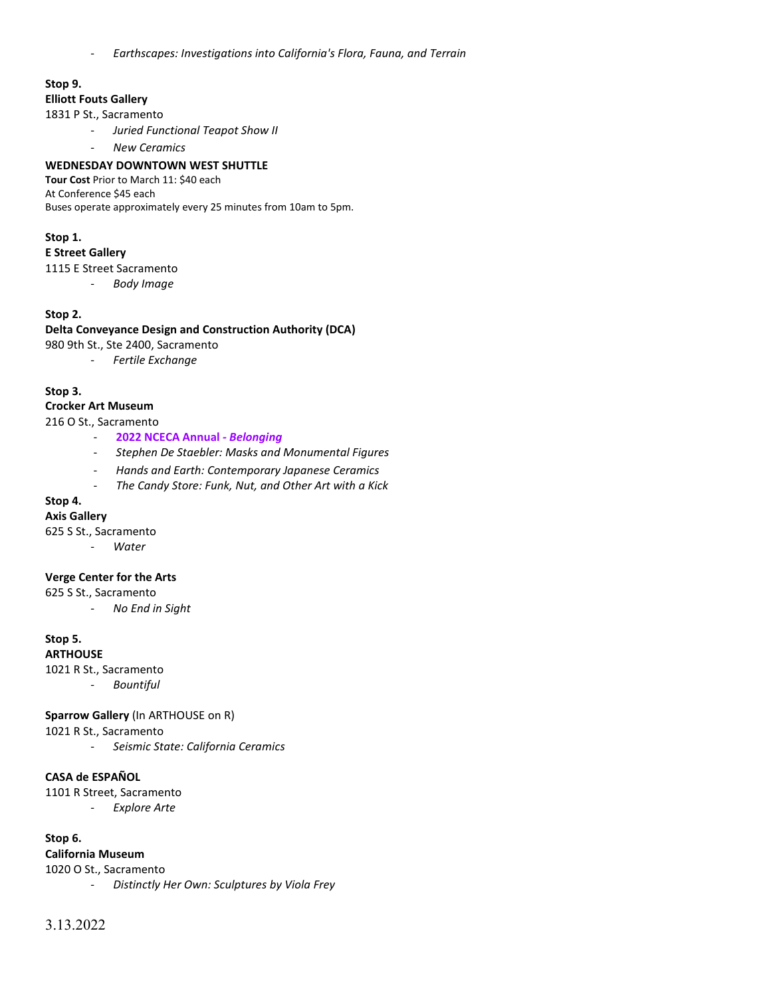- *Earthscapes: Investigations into California's Flora, Fauna, and Terrain*

# **Stop 9.**

## **Elliott Fouts Gallery**

1831 P St., Sacramento

- *Juried Functional Teapot Show II*
- *New Ceramics*

#### **WEDNESDAY DOWNTOWN WEST SHUTTLE**

**Tour Cost** Prior to March 11: \$40 each At Conference \$45 each Buses operate approximately every 25 minutes from 10am to 5pm.

#### **Stop 1.**

#### **E Street Gallery**

- 1115 E Street Sacramento
	- *Body Image*

#### **Stop 2.**

## **Delta Conveyance Design and Construction Authority (DCA)**

- 980 9th St., Ste 2400, Sacramento
	- *Fertile Exchange*

## **Stop 3.**

## **Crocker Art Museum**

#### 216 O St., Sacramento

- **2022 NCECA Annual** *- Belonging*
- *Stephen De Staebler: Masks and Monumental Figures*
- *Hands and Earth: Contemporary Japanese Ceramics*
- *The Candy Store: Funk, Nut, and Other Art with a Kick*

## **Stop 4.**

## **Axis Gallery**

625 S St., Sacramento

- *Water*

## **Verge Center for the Arts**

625 S St., Sacramento

- *No End in Sight*

## **Stop 5.**

# **ARTHOUSE**

1021 R St., Sacramento

- *Bountiful*

#### **Sparrow Gallery** (In ARTHOUSE on R)

1021 R St., Sacramento

- *Seismic State: California Ceramics*

#### **CASA de ESPAÑOL**

1101 R Street, Sacramento

- *Explore Arte* 

## **Stop 6.**

# **California Museum**

1020 O St., Sacramento

- *Distinctly Her Own: Sculptures by Viola Frey*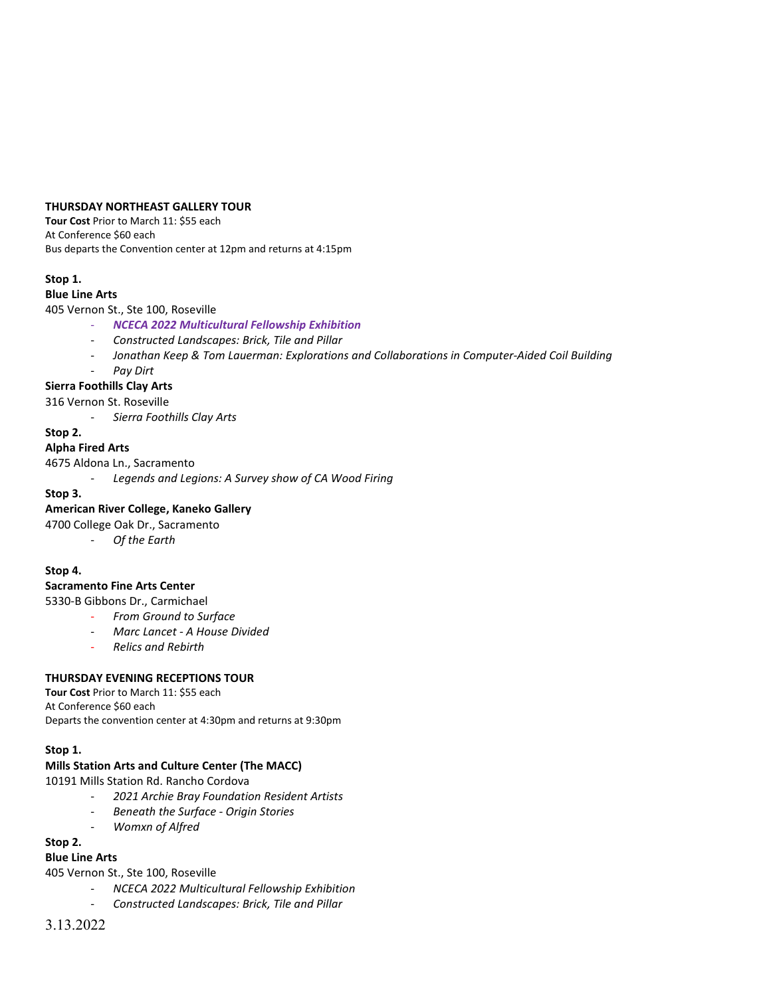#### **THURSDAY NORTHEAST GALLERY TOUR**

**Tour Cost** Prior to March 11: \$55 each At Conference \$60 each Bus departs the Convention center at 12pm and returns at 4:15pm

## **Stop 1.**

## **Blue Line Arts**

## 405 Vernon St., Ste 100, Roseville

- *NCECA 2022 Multicultural Fellowship Exhibition* 
	- *Constructed Landscapes: Brick, Tile and Pillar*
	- *Jonathan Keep & Tom Lauerman: Explorations and Collaborations in Computer-Aided Coil Building*
	- *Pay Dirt*

## **Sierra Foothills Clay Arts**

316 Vernon St. Roseville

- *Sierra Foothills Clay Arts*

## **Stop 2.**

**Alpha Fired Arts**

4675 Aldona Ln., Sacramento

Legends and Legions: A Survey show of CA Wood Firing

#### **Stop 3.**

## **American River College, Kaneko Gallery**

4700 College Oak Dr., Sacramento

- *Of the Earth*

## **Stop 4.**

## **Sacramento Fine Arts Center**

5330-B Gibbons Dr., Carmichael

- *From Ground to Surface* 
	- *Marc Lancet - A House Divided*
	- *Relics and Rebirth*

## **THURSDAY EVENING RECEPTIONS TOUR**

**Tour Cost** Prior to March 11: \$55 each At Conference \$60 each Departs the convention center at 4:30pm and returns at 9:30pm

## **Stop 1.**

# **Mills Station Arts and Culture Center (The MACC)**

10191 Mills Station Rd. Rancho Cordova

- *2021 Archie Bray Foundation Resident Artists*
- *Beneath the Surface - Origin Stories*
- *Womxn of Alfred*

## **Stop 2.**

# **Blue Line Arts**

405 Vernon St., Ste 100, Roseville

- *NCECA 2022 Multicultural Fellowship Exhibition*
- *Constructed Landscapes: Brick, Tile and Pillar*

# 3.13.2022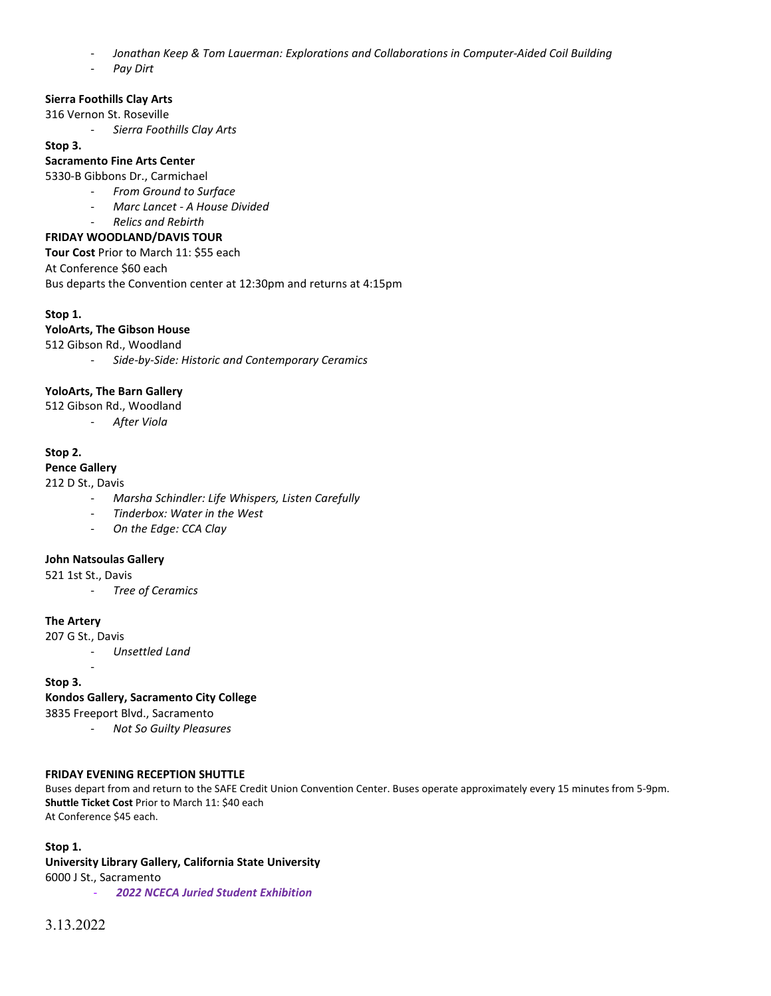- *Jonathan Keep & Tom Lauerman: Explorations and Collaborations in Computer-Aided Coil Building*
- *Pay Dirt*

# **Sierra Foothills Clay Arts**

316 Vernon St. Roseville

- *Sierra Foothills Clay Arts*

#### **Stop 3.**

## **Sacramento Fine Arts Center**

5330-B Gibbons Dr., Carmichael

- *From Ground to Surface*
- *Marc Lancet - A House Divided*
- *Relics and Rebirth*

## **FRIDAY WOODLAND/DAVIS TOUR**

**Tour Cost** Prior to March 11: \$55 each

At Conference \$60 each

Bus departs the Convention center at 12:30pm and returns at 4:15pm

## **Stop 1.**

## **YoloArts, The Gibson House**

512 Gibson Rd., Woodland

- *Side-by-Side: Historic and Contemporary Ceramics*

## **YoloArts, The Barn Gallery**

512 Gibson Rd., Woodland

- *After Viola* 

## **Stop 2.**

## **Pence Gallery**

212 D St., Davis

- *Marsha Schindler: Life Whispers, Listen Carefully*
- *Tinderbox: Water in the West*
- *On the Edge: CCA Clay*

## **John Natsoulas Gallery**

521 1st St., Davis

- *Tree of Ceramics*

## **The Artery**

207 G St., Davis

-

- *Unsettled Land*

## **Stop 3.**

## **Kondos Gallery, Sacramento City College**

3835 Freeport Blvd., Sacramento

- *Not So Guilty Pleasures* 

## **FRIDAY EVENING RECEPTION SHUTTLE**

Buses depart from and return to the SAFE Credit Union Convention Center. Buses operate approximately every 15 minutes from 5-9pm. **Shuttle Ticket Cost** Prior to March 11: \$40 each At Conference \$45 each.

#### **Stop 1.**

# **University Library Gallery, California State University**

6000 J St., Sacramento

- *2022 NCECA Juried Student Exhibition*